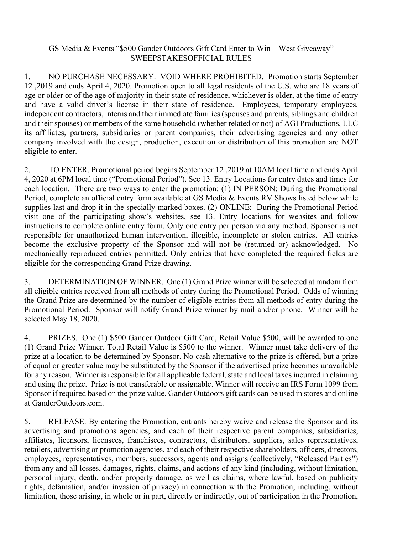## GS Media & Events "\$500 Gander Outdoors Gift Card Enter to Win – West Giveaway" SWEEPSTAKESOFFICIAL RULES

1. NO PURCHASE NECESSARY. VOID WHERE PROHIBITED. Promotion starts September 12 ,2019 and ends April 4, 2020. Promotion open to all legal residents of the U.S. who are 18 years of age or older or of the age of majority in their state of residence, whichever is older, at the time of entry and have a valid driver's license in their state of residence. Employees, temporary employees, independent contractors, interns and their immediate families (spouses and parents, siblings and children and their spouses) or members of the same household (whether related or not) of AGI Productions, LLC its affiliates, partners, subsidiaries or parent companies, their advertising agencies and any other company involved with the design, production, execution or distribution of this promotion are NOT eligible to enter.

2. TO ENTER. Promotional period begins September 12 ,2019 at 10AM local time and ends April 4, 2020 at 6PM local time ("Promotional Period"). See 13. Entry Locations for entry dates and times for each location. There are two ways to enter the promotion: (1) IN PERSON: During the Promotional Period, complete an official entry form available at GS Media & Events RV Shows listed below while supplies last and drop it in the specially marked boxes. (2) ONLINE: During the Promotional Period visit one of the participating show's websites, see 13. Entry locations for websites and follow instructions to complete online entry form. Only one entry per person via any method. Sponsor is not responsible for unauthorized human intervention, illegible, incomplete or stolen entries. All entries become the exclusive property of the Sponsor and will not be (returned or) acknowledged. No mechanically reproduced entries permitted. Only entries that have completed the required fields are eligible for the corresponding Grand Prize drawing.

3. DETERMINATION OF WINNER. One (1) Grand Prize winner will be selected at random from all eligible entries received from all methods of entry during the Promotional Period. Odds of winning the Grand Prize are determined by the number of eligible entries from all methods of entry during the Promotional Period. Sponsor will notify Grand Prize winner by mail and/or phone. Winner will be selected May 18, 2020.

4. PRIZES. One (1) \$500 Gander Outdoor Gift Card, Retail Value \$500, will be awarded to one (1) Grand Prize Winner. Total Retail Value is \$500 to the winner. Winner must take delivery of the prize at a location to be determined by Sponsor. No cash alternative to the prize is offered, but a prize of equal or greater value may be substituted by the Sponsor if the advertised prize becomes unavailable for any reason. Winner is responsible for all applicable federal, state and local taxes incurred in claiming and using the prize. Prize is not transferable or assignable. Winner will receive an IRS Form 1099 from Sponsor if required based on the prize value. Gander Outdoors gift cards can be used in stores and online at GanderOutdoors.com.

5. RELEASE: By entering the Promotion, entrants hereby waive and release the Sponsor and its advertising and promotions agencies, and each of their respective parent companies, subsidiaries, affiliates, licensors, licensees, franchisees, contractors, distributors, suppliers, sales representatives, retailers, advertising or promotion agencies, and each of their respective shareholders, officers, directors, employees, representatives, members, successors, agents and assigns (collectively, "Released Parties") from any and all losses, damages, rights, claims, and actions of any kind (including, without limitation, personal injury, death, and/or property damage, as well as claims, where lawful, based on publicity rights, defamation, and/or invasion of privacy) in connection with the Promotion, including, without limitation, those arising, in whole or in part, directly or indirectly, out of participation in the Promotion,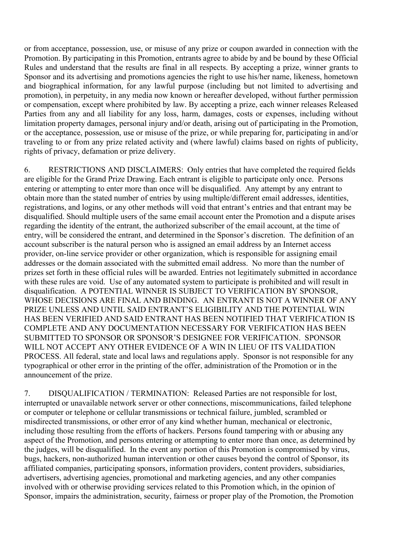or from acceptance, possession, use, or misuse of any prize or coupon awarded in connection with the Promotion. By participating in this Promotion, entrants agree to abide by and be bound by these Official Rules and understand that the results are final in all respects. By accepting a prize, winner grants to Sponsor and its advertising and promotions agencies the right to use his/her name, likeness, hometown and biographical information, for any lawful purpose (including but not limited to advertising and promotion), in perpetuity, in any media now known or hereafter developed, without further permission or compensation, except where prohibited by law. By accepting a prize, each winner releases Released Parties from any and all liability for any loss, harm, damages, costs or expenses, including without limitation property damages, personal injury and/or death, arising out of participating in the Promotion, or the acceptance, possession, use or misuse of the prize, or while preparing for, participating in and/or traveling to or from any prize related activity and (where lawful) claims based on rights of publicity, rights of privacy, defamation or prize delivery.

6. RESTRICTIONS AND DISCLAIMERS: Only entries that have completed the required fields are eligible for the Grand Prize Drawing. Each entrant is eligible to participate only once. Persons entering or attempting to enter more than once will be disqualified. Any attempt by any entrant to obtain more than the stated number of entries by using multiple/different email addresses, identities, registrations, and logins, or any other methods will void that entrant's entries and that entrant may be disqualified. Should multiple users of the same email account enter the Promotion and a dispute arises regarding the identity of the entrant, the authorized subscriber of the email account, at the time of entry, will be considered the entrant, and determined in the Sponsor's discretion. The definition of an account subscriber is the natural person who is assigned an email address by an Internet access provider, on-line service provider or other organization, which is responsible for assigning email addresses or the domain associated with the submitted email address. No more than the number of prizes set forth in these official rules will be awarded. Entries not legitimately submitted in accordance with these rules are void. Use of any automated system to participate is prohibited and will result in disqualification. A POTENTIAL WINNER IS SUBJECT TO VERIFICATION BY SPONSOR, WHOSE DECISIONS ARE FINAL AND BINDING. AN ENTRANT IS NOT A WINNER OF ANY PRIZE UNLESS AND UNTIL SAID ENTRANT'S ELIGIBILITY AND THE POTENTIAL WIN HAS BEEN VERIFIED AND SAID ENTRANT HAS BEEN NOTIFIED THAT VERIFICATION IS COMPLETE AND ANY DOCUMENTATION NECESSARY FOR VERIFICATION HAS BEEN SUBMITTED TO SPONSOR OR SPONSOR'S DESIGNEE FOR VERIFICATION. SPONSOR WILL NOT ACCEPT ANY OTHER EVIDENCE OF A WIN IN LIEU OF ITS VALIDATION PROCESS. All federal, state and local laws and regulations apply. Sponsor is not responsible for any typographical or other error in the printing of the offer, administration of the Promotion or in the announcement of the prize.

7. DISQUALIFICATION / TERMINATION: Released Parties are not responsible for lost, interrupted or unavailable network server or other connections, miscommunications, failed telephone or computer or telephone or cellular transmissions or technical failure, jumbled, scrambled or misdirected transmissions, or other error of any kind whether human, mechanical or electronic, including those resulting from the efforts of hackers. Persons found tampering with or abusing any aspect of the Promotion, and persons entering or attempting to enter more than once, as determined by the judges, will be disqualified. In the event any portion of this Promotion is compromised by virus, bugs, hackers, non-authorized human intervention or other causes beyond the control of Sponsor, its affiliated companies, participating sponsors, information providers, content providers, subsidiaries, advertisers, advertising agencies, promotional and marketing agencies, and any other companies involved with or otherwise providing services related to this Promotion which, in the opinion of Sponsor, impairs the administration, security, fairness or proper play of the Promotion, the Promotion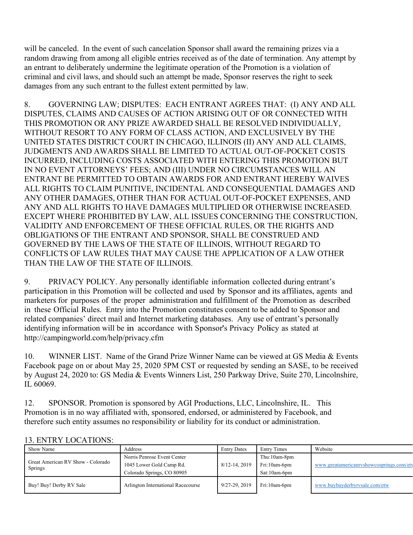will be canceled. In the event of such cancelation Sponsor shall award the remaining prizes via a random drawing from among all eligible entries received as of the date of termination. Any attempt by an entrant to deliberately undermine the legitimate operation of the Promotion is a violation of criminal and civil laws, and should such an attempt be made, Sponsor reserves the right to seek damages from any such entrant to the fullest extent permitted by law.

8. GOVERNING LAW; DISPUTES: EACH ENTRANT AGREES THAT: (I) ANY AND ALL DISPUTES, CLAIMS AND CAUSES OF ACTION ARISING OUT OF OR CONNECTED WITH THIS PROMOTION OR ANY PRIZE AWARDED SHALL BE RESOLVED INDIVIDUALLY, WITHOUT RESORT TO ANY FORM OF CLASS ACTION, AND EXCLUSIVELY BY THE UNITED STATES DISTRICT COURT IN CHICAGO, ILLINOIS (II) ANY AND ALL CLAIMS, JUDGMENTS AND AWARDS SHALL BE LIMITED TO ACTUAL OUT-OF-POCKET COSTS INCURRED, INCLUDING COSTS ASSOCIATED WITH ENTERING THIS PROMOTION BUT IN NO EVENT ATTORNEYS' FEES; AND (III) UNDER NO CIRCUMSTANCES WILL AN ENTRANT BE PERMITTED TO OBTAIN AWARDS FOR AND ENTRANT HEREBY WAIVES ALL RIGHTS TO CLAIM PUNITIVE, INCIDENTAL AND CONSEQUENTIAL DAMAGES AND ANY OTHER DAMAGES, OTHER THAN FOR ACTUAL OUT-OF-POCKET EXPENSES, AND ANY AND ALL RIGHTS TO HAVE DAMAGES MULTIPLIED OR OTHERWISE INCREASED. EXCEPT WHERE PROHIBITED BY LAW, ALL ISSUES CONCERNING THE CONSTRUCTION, VALIDITY AND ENFORCEMENT OF THESE OFFICIAL RULES, OR THE RIGHTS AND OBLIGATIONS OF THE ENTRANT AND SPONSOR, SHALL BE CONSTRUED AND GOVERNED BY THE LAWS OF THE STATE OF ILLINOIS, WITHOUT REGARD TO CONFLICTS OF LAW RULES THAT MAY CAUSE THE APPLICATION OF A LAW OTHER THAN THE LAW OF THE STATE OF ILLINOIS.

9. PRIVACY POLICY. Any personally identifiable information collected during entrant's participation in this Promotion will be collected and used by Sponsor and its affiliates, agents and marketers for purposes of the proper administration and fulfillment of the Promotion as described in these Official Rules. Entry into the Promotion constitutes consent to be added to Sponsor and related companies' direct mail and Internet marketing databases. Any use of entrant's personally identifying information will be in accordance with Sponsor's Privacy Policy as stated at http://campingworld.com/help/privacy.cfm

10. WINNER LIST. Name of the Grand Prize Winner Name can be viewed at GS Media & Events Facebook page on or about May 25, 2020 5PM CST or requested by sending an SASE, to be received by August 24, 2020 to: GS Media & Events Winners List, 250 Parkway Drive, Suite 270, Lincolnshire, IL 60069.

12. SPONSOR. Promotion is sponsored by AGI Productions, LLC, Lincolnshire, IL. This Promotion is in no way affiliated with, sponsored, endorsed, or administered by Facebook, and therefore such entity assumes no responsibility or liability for its conduct or administration.

| Show Name                                    | <b>Address</b>                     | <b>Entry Dates</b> | <b>Entry Times</b> | Website                                  |  |  |
|----------------------------------------------|------------------------------------|--------------------|--------------------|------------------------------------------|--|--|
| Great American RV Show - Colorado<br>Springs | Norris Penrose Event Center        |                    | Thu:10am-8pm       |                                          |  |  |
|                                              | 1045 Lower Gold Camp Rd.           | 8/12-14, 2019      | Fri:10am-6pm       | www.greatamericanryshowcosprings.com/ety |  |  |
|                                              | Colorado Springs, CO 80905         |                    | Sat:10am-6pm       |                                          |  |  |
| Buy! Buy! Derby RV Sale                      | Arlington International Racecourse | 9/27-29, 2019      | Fri:10am-6pm       | www.buybuyderbyrvsale.com/etw            |  |  |

## 13. ENTRY LOCATIONS: